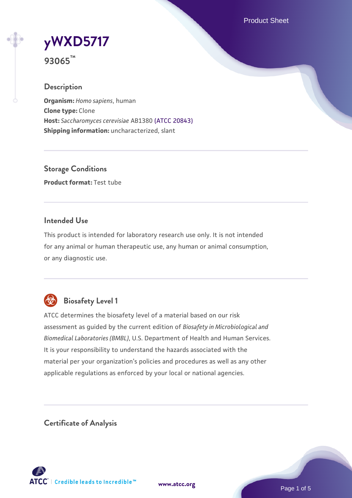Product Sheet

# **[yWXD5717](https://www.atcc.org/products/93065)**

**93065™**

# **Description**

**Organism:** *Homo sapiens*, human **Clone type:** Clone **Host:** *Saccharomyces cerevisiae* AB1380 [\(ATCC 20843\)](https://www.atcc.org/products/20843) **Shipping information:** uncharacterized, slant

**Storage Conditions Product format:** Test tube

### **Intended Use**

This product is intended for laboratory research use only. It is not intended for any animal or human therapeutic use, any human or animal consumption, or any diagnostic use.



# **Biosafety Level 1**

ATCC determines the biosafety level of a material based on our risk assessment as guided by the current edition of *Biosafety in Microbiological and Biomedical Laboratories (BMBL)*, U.S. Department of Health and Human Services. It is your responsibility to understand the hazards associated with the material per your organization's policies and procedures as well as any other applicable regulations as enforced by your local or national agencies.

**Certificate of Analysis**

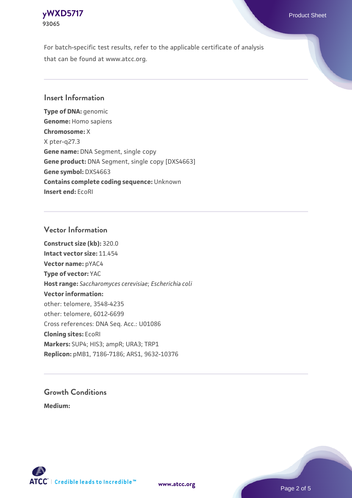

For batch-specific test results, refer to the applicable certificate of analysis that can be found at www.atcc.org.

#### **Insert Information**

**Type of DNA:** genomic **Genome:** Homo sapiens **Chromosome:** X X pter-q27.3 **Gene name:** DNA Segment, single copy **Gene product:** DNA Segment, single copy [DXS4663] **Gene symbol:** DXS4663 **Contains complete coding sequence:** Unknown **Insert end:** EcoRI

#### **Vector Information**

**Construct size (kb):** 320.0 **Intact vector size:** 11.454 **Vector name:** pYAC4 **Type of vector:** YAC **Host range:** *Saccharomyces cerevisiae*; *Escherichia coli* **Vector information:** other: telomere, 3548-4235 other: telomere, 6012-6699 Cross references: DNA Seq. Acc.: U01086 **Cloning sites:** EcoRI **Markers:** SUP4; HIS3; ampR; URA3; TRP1 **Replicon:** pMB1, 7186-7186; ARS1, 9632-10376

# **Growth Conditions**

**Medium:** 



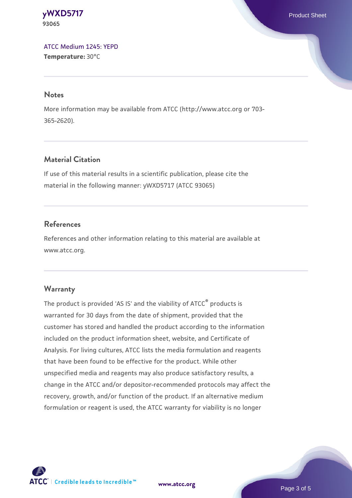**[yWXD5717](https://www.atcc.org/products/93065)** Product Sheet **93065**

[ATCC Medium 1245: YEPD](https://www.atcc.org/-/media/product-assets/documents/microbial-media-formulations/1/2/4/5/atcc-medium-1245.pdf?rev=705ca55d1b6f490a808a965d5c072196) **Temperature:** 30°C

#### **Notes**

More information may be available from ATCC (http://www.atcc.org or 703- 365-2620).

### **Material Citation**

If use of this material results in a scientific publication, please cite the material in the following manner: yWXD5717 (ATCC 93065)

#### **References**

References and other information relating to this material are available at www.atcc.org.

#### **Warranty**

The product is provided 'AS IS' and the viability of ATCC® products is warranted for 30 days from the date of shipment, provided that the customer has stored and handled the product according to the information included on the product information sheet, website, and Certificate of Analysis. For living cultures, ATCC lists the media formulation and reagents that have been found to be effective for the product. While other unspecified media and reagents may also produce satisfactory results, a change in the ATCC and/or depositor-recommended protocols may affect the recovery, growth, and/or function of the product. If an alternative medium formulation or reagent is used, the ATCC warranty for viability is no longer



**[www.atcc.org](http://www.atcc.org)**

Page 3 of 5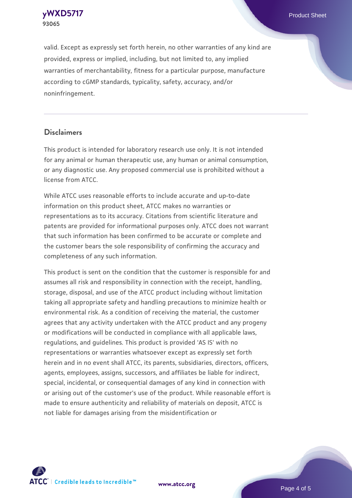**[yWXD5717](https://www.atcc.org/products/93065)** Product Sheet **93065**

valid. Except as expressly set forth herein, no other warranties of any kind are provided, express or implied, including, but not limited to, any implied warranties of merchantability, fitness for a particular purpose, manufacture according to cGMP standards, typicality, safety, accuracy, and/or noninfringement.

#### **Disclaimers**

This product is intended for laboratory research use only. It is not intended for any animal or human therapeutic use, any human or animal consumption, or any diagnostic use. Any proposed commercial use is prohibited without a license from ATCC.

While ATCC uses reasonable efforts to include accurate and up-to-date information on this product sheet, ATCC makes no warranties or representations as to its accuracy. Citations from scientific literature and patents are provided for informational purposes only. ATCC does not warrant that such information has been confirmed to be accurate or complete and the customer bears the sole responsibility of confirming the accuracy and completeness of any such information.

This product is sent on the condition that the customer is responsible for and assumes all risk and responsibility in connection with the receipt, handling, storage, disposal, and use of the ATCC product including without limitation taking all appropriate safety and handling precautions to minimize health or environmental risk. As a condition of receiving the material, the customer agrees that any activity undertaken with the ATCC product and any progeny or modifications will be conducted in compliance with all applicable laws, regulations, and guidelines. This product is provided 'AS IS' with no representations or warranties whatsoever except as expressly set forth herein and in no event shall ATCC, its parents, subsidiaries, directors, officers, agents, employees, assigns, successors, and affiliates be liable for indirect, special, incidental, or consequential damages of any kind in connection with or arising out of the customer's use of the product. While reasonable effort is made to ensure authenticity and reliability of materials on deposit, ATCC is not liable for damages arising from the misidentification or



**[www.atcc.org](http://www.atcc.org)**

Page 4 of 5